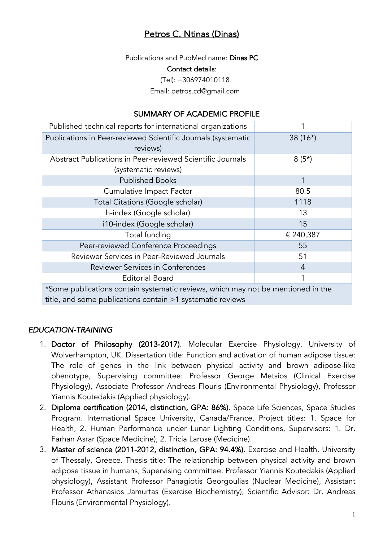# Petros C. Ntinas (Dinas)

Publications and PubMed name: Dinas PC Contact details: (Tel): +306974010118

Email: petros.cd@gmail.com

### SUMMARY OF ACADEMIC PROFILE

| Published technical reports for international organizations                      |                |
|----------------------------------------------------------------------------------|----------------|
| Publications in Peer-reviewed Scientific Journals (systematic                    | $38(16*)$      |
| reviews)                                                                         |                |
| Abstract Publications in Peer-reviewed Scientific Journals                       | $8(5*)$        |
| (systematic reviews)                                                             |                |
| <b>Published Books</b>                                                           | 1              |
| Cumulative Impact Factor                                                         | 80.5           |
| Total Citations (Google scholar)                                                 | 1118           |
| h-index (Google scholar)                                                         | 13             |
| i10-index (Google scholar)                                                       | 15             |
| Total funding                                                                    | € 240,387      |
| Peer-reviewed Conference Proceedings                                             | 55             |
| Reviewer Services in Peer-Reviewed Journals                                      | 51             |
| Reviewer Services in Conferences                                                 | $\overline{4}$ |
| <b>Editorial Board</b>                                                           |                |
| *Some publications contain systematic reviews, which may not be mentioned in the |                |

contain systematic reviews, which may title, and some publications contain >1 systematic reviews

#### *EDUCATION-TRAINING*

- 1. Doctor of Philosophy (2013-2017). Molecular Exercise Physiology. University of Wolverhampton, UK. Dissertation title: Function and activation of human adipose tissue: The role of genes in the link between physical activity and brown adipose-like phenotype, Supervising committee: Professor George Metsios (Clinical Exercise Physiology), Associate Professor Andreas Flouris (Environmental Physiology), Professor Yiannis Koutedakis (Applied physiology).
- 2. Diploma certification (2014, distinction, GPA: 86%). Space Life Sciences, Space Studies Program. International Space University, Canada/France. Project titles: 1. Space for Health, 2. Human Performance under Lunar Lighting Conditions, Supervisors: 1. Dr. Farhan Asrar (Space Medicine), 2. Tricia Larose (Medicine).
- 3. Master of science (2011-2012, distinction, GPA: 94.4%). Exercise and Health. University of Thessaly, Greece. Thesis title: The relationship between physical activity and brown adipose tissue in humans, Supervising committee: Professor Yiannis Koutedakis (Applied physiology), Assistant Professor Panagiotis Georgoulias (Nuclear Medicine), Assistant Professor Athanasios Jamurtas (Exercise Biochemistry), Scientific Advisor: Dr. Andreas Flouris (Environmental Physiology).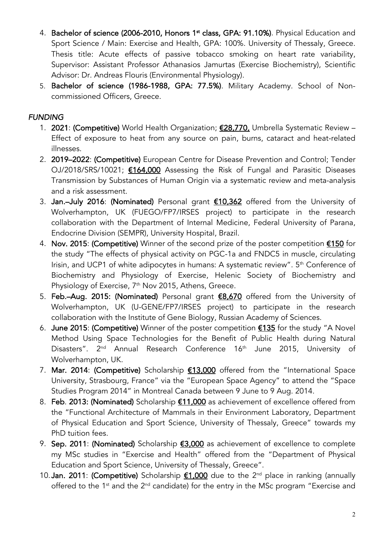- 4. Bachelor of science (2006-2010, Honors 1<sup>st</sup> class, GPA: 91.10%). Physical Education and Sport Science / Main: Exercise and Health, GPA: 100%. University of Thessaly, Greece. Thesis title: Acute effects of passive tobacco smoking on heart rate variability, Supervisor: Assistant Professor Athanasios Jamurtas (Exercise Biochemistry), Scientific Advisor: Dr. Andreas Flouris (Environmental Physiology).
- 5. Bachelor of science (1986-1988, GPA: 77.5%). Military Academy. School of Noncommissioned Officers, Greece.

## *FUNDING*

- 1. 2021: (Competitive) World Health Organization; £28,770, Umbrella Systematic Review Effect of exposure to heat from any source on pain, burns, cataract and heat-related illnesses.
- 2. 2019–2022: (Competitive) European Centre for Disease Prevention and Control; Tender OJ/2018/SRS/10021; **€164,000** Assessing the Risk of Fungal and Parasitic Diseases Transmission by Substances of Human Origin via a systematic review and meta-analysis and a risk assessment.
- 3. Jan.–July 2016: (Nominated) Personal grant €10,362 offered from the University of Wolverhampton, UK (FUEGO/FP7/IRSES project) to participate in the research collaboration with the Department of Internal Medicine, Federal University of Parana, Endocrine Division (SEMPR), University Hospital, Brazil.
- 4. Nov. 2015: (Competitive) Winner of the second prize of the poster competition €150 for the study "The effects of physical activity on PGC-1a and FNDC5 in muscle, circulating Irisin, and UCP1 of white adipocytes in humans: A systematic review". 5<sup>th</sup> Conference of Biochemistry and Physiology of Exercise, Helenic Society of Biochemistry and Physiology of Exercise,  $7<sup>th</sup>$  Nov 2015, Athens, Greece.
- 5. Feb.–Aug. 2015: (Nominated) Personal grant €8,670 offered from the University of Wolverhampton, UK (U-GENE/FP7/IRSES project) to participate in the research collaboration with the Institute of Gene Biology, Russian Academy of Sciences.
- 6. June 2015: (Competitive) Winner of the poster competition  $\epsilon$ 135 for the study "A Novel Method Using Space Technologies for the Benefit of Public Health during Natural Disasters". 2<sup>nd</sup> Annual Research Conference 16<sup>th</sup> June 2015, University of Wolverhampton, UK.
- 7. Mar. 2014: (Competitive) Scholarship €13,000 offered from the "International Space University, Strasbourg, France" via the "European Space Agency" to attend the "Space Studies Program 2014" in Montreal Canada between 9 June to 9 Aug. 2014.
- 8. Feb. 2013: (Nominated) Scholarship €11,000 as achievement of excellence offered from the "Functional Architecture of Mammals in their Environment Laboratory, Department of Physical Education and Sport Science, University of Thessaly, Greece" towards my PhD tuition fees.
- 9. Sep. 2011: (Nominated) Scholarship  $£3,000$  as achievement of excellence to complete my MSc studies in "Exercise and Health" offered from the "Department of Physical Education and Sport Science, University of Thessaly, Greece".
- 10. Jan. 2011: (Competitive) Scholarship €1,000 due to the 2<sup>nd</sup> place in ranking (annually offered to the 1<sup>st</sup> and the 2<sup>nd</sup> candidate) for the entry in the MSc program "Exercise and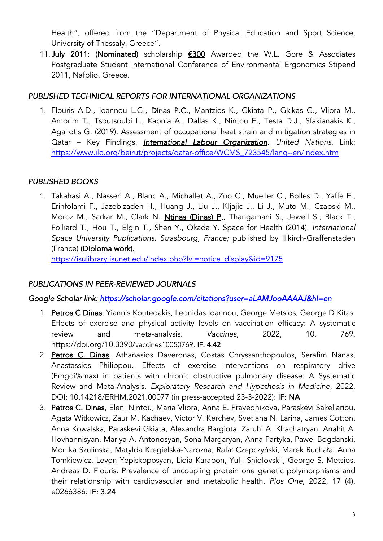Health", offered from the "Department of Physical Education and Sport Science, University of Thessaly, Greece".

11.July 2011: (Nominated) scholarship €300 Awarded the W.L. Gore & Associates Postgraduate Student International Conference of Environmental Ergonomics Stipend 2011, Nafplio, Greece.

### *PUBLISHED TECHNICAL REPORTS FOR INTERNATIONAL ORGANIZATIONS*

1. Flouris A.D., Ioannou L.G., Dinas P.C., Mantzios K., Gkiata P., Gkikas G., Vliora M., Amorim T., Tsoutsoubi L., Kapnia A., Dallas K., Nintou E., Testa D.J., Sfakianakis K., Agaliotis G. (2019). Assessment of occupational heat strain and mitigation strategies in Qatar – Key Findings. *International Labour Organization. United Nations*. Link: https://www.ilo.org/beirut/projects/qatar-office/WCMS\_723545/lang--en/index.htm

## *PUBLISHED BOOKS*

1. Takahasi A., Nasseri A., Blanc A., Michallet A., Zuo C., Mueller C., Bolles D., Yaffe E., Erinfolami F., Jazebizadeh H., Huang J., Liu J., Kljajic J., Li J., Muto M., Czapski M., Moroz M., Sarkar M., Clark N. Ntinas (Dinas) P., Thangamani S., Jewell S., Black T., Folliard T., Hou T., Elgin T., Shen Y., Okada Y. Space for Health (2014). *International Space University Publications. Strasbourg, France;* published by Illkirch-Graffenstaden (France) (Diploma work).

https://isulibrary.isunet.edu/index.php?lvl=notice\_display&id=9175

## *PUBLICATIONS IN PEER-REVIEWED JOURNALS*

*Google Scholar link: https://scholar.google.com/citations?user=aLAMJooAAAAJ&hl=en* 

- 1. Petros C Dinas, Yiannis Koutedakis, Leonidas Ioannou, George Metsios, George D Kitas. Effects of exercise and physical activity levels on vaccination efficacy: A systematic review and meta-analysis. *Vaccines*, 2022, 10, 769, https://doi.org/10.3390/vaccines10050769. IF: 4.42
- 2. Petros C. Dinas, Athanasios Daveronas, Costas Chryssanthopoulos, Serafim Nanas, Anastassios Philippou. Effects of exercise interventions on respiratory drive (Emgdi%max) in patients with chronic obstructive pulmonary disease: A Systematic Review and Meta-Analysis. *Exploratory Research and Hypothesis in Medicine,* 2022, DOI: 10.14218/ERHM.2021.00077 (in press-accepted 23-3-2022): IF: NA
- 3. Petros C. Dinas, Eleni Nintou, Maria Vliora, Anna E. Pravednikova, Paraskevi Sakellariou, Agata Witkowicz, Zaur M. Kachaev, Victor V. Kerchev, Svetlana N. Larina, James Cotton, Anna Kowalska, Paraskevi Gkiata, Alexandra Bargiota, Zaruhi A. Khachatryan, Anahit A. Hovhannisyan, Mariya A. Antonosyan, Sona Margaryan, Anna Partyka, Pawel Bogdanski, Monika Szulinska, Matylda Kregielska-Narozna, Rafał Czepczyński, Marek Ruchała, Anna Tomkiewicz, Levon Yepiskoposyan, Lidia Karabon, Yulii Shidlovskii, George S. Metsios, Andreas D. Flouris. Prevalence of uncoupling protein one genetic polymorphisms and their relationship with cardiovascular and metabolic health. *Plos One*, 2022, 17 (4), e0266386: IF: 3.24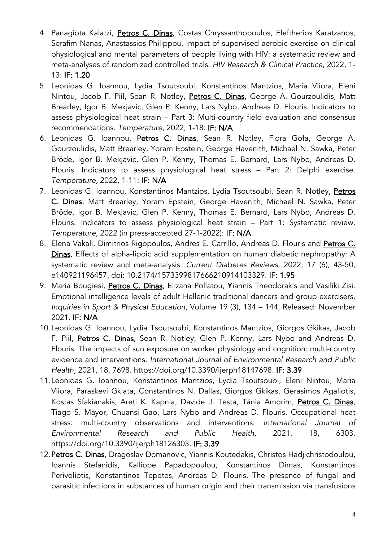- 4. Panagiota Kalatzi, Petros C. Dinas, Costas Chryssanthopoulos, Eleftherios Karatzanos, Serafim Nanas, Anastassios Philippou. Impact of supervised aerobic exercise on clinical physiological and mental parameters of people living with HIV: a systematic review and meta-analyses of randomized controlled trials. *HIV Research & Clinical Practice*, 2022, 1- 13: IF: 1.20
- 5. Leonidas G. Ioannou, Lydia Tsoutsoubi, Konstantinos Mantzios, Maria Vliora, Eleni Nintou, Jacob F. Piil, Sean R. Notley, Petros C. Dinas, George A. Gourzoulidis, Matt Brearley, Igor B. Mekjavic, Glen P. Kenny, Lars Nybo, Andreas D. Flouris. Indicators to assess physiological heat strain – Part 3: Multi-country field evaluation and consensus recommendations. *Temperature,* 2022, 1-18: IF: N/A
- 6. Leonidas G. Ioannou, Petros C. Dinas, Sean R. Notley, Flora Gofa, George A. Gourzoulidis, Matt Brearley, Yoram Epstein, George Havenith, Michael N. Sawka, Peter Bröde, Igor B. Mekjavic, Glen P. Kenny, Thomas E. Bernard, Lars Nybo, Andreas D. Flouris. Indicators to assess physiological heat stress – Part 2: Delphi exercise. *Temperature,* 2022, 1-11: IF: N/A
- 7. Leonidas G. Ioannou, Konstantinos Mantzios, Lydia Tsoutsoubi, Sean R. Notley, Petros C. Dinas, Matt Brearley, Yoram Epstein, George Havenith, Michael N. Sawka, Peter Bröde, Igor B. Mekjavic, Glen P. Kenny, Thomas E. Bernard, Lars Nybo, Andreas D. Flouris. Indicators to assess physiological heat strain – Part 1: Systematic review. *Temperature,* 2022 (in press-accepted 27-1-2022): IF: N/A
- 8. Elena Vakali, Dimitrios Rigopoulos, Andres E. Carrillo, Andreas D. Flouris and Petros C. Dinas. Effects of alpha-lipoic acid supplementation on human diabetic nephropathy: A systematic review and meta-analysis. *Current Diabetes Reviews*, 2022; 17 (6), 43-50, e140921196457, doi: 10.2174/1573399817666210914103329*.* IF: 1.95
- 9. Maria Bougiesi, Petros C. Dinas, Elizana Pollatou, Yiannis Theodorakis and Vasiliki Zisi. Emotional intelligence levels of adult Hellenic traditional dancers and group exercisers. *Inquiries in Sport & Physical Education,* Volume 19 (3), 134 – 144, Released: November 2021. IF: N/A
- 10.Leonidas G. Ioannou, Lydia Tsoutsoubi, Konstantinos Mantzios, Giorgos Gkikas, Jacob F. Piil, Petros C. Dinas, Sean R. Notley, Glen P. Kenny, Lars Nybo and Andreas D. Flouris. The impacts of sun exposure on worker physiology and cognition: multi-country evidence and interventions. *International Journal of Environmental Research and Public Health,* 2021, 18, 7698. https://doi.org/10.3390/ijerph18147698. IF: 3.39
- 11.Leonidas G. Ioannou, Konstantinos Mantzios, Lydia Tsoutsoubi, Eleni Nintou, Maria Vliora, Paraskevi Gkiata, Constantinos N. Dallas, Giorgos Gkikas, Gerasimos Agaliotis, Kostas Sfakianakis, Areti K. Kapnia, Davide J. Testa, Tânia Amorim, Petros C. Dinas, Tiago S. Mayor, Chuansi Gao, Lars Nybo and Andreas D. Flouris. Occupational heat stress: multi-country observations and interventions. *International Journal of Environmental Research and Public Health,* 2021, 18, 6303. https://doi.org/10.3390/ijerph18126303. IF: 3.39
- 12. Petros C. Dinas, Dragoslav Domanovic, Yiannis Koutedakis, Christos Hadjichristodoulou, Ioannis Stefanidis, Kalliope Papadopoulou, Konstantinos Dimas, Konstantinos Perivoliotis, Konstantinos Tepetes, Andreas D. Flouris. The presence of fungal and parasitic infections in substances of human origin and their transmission via transfusions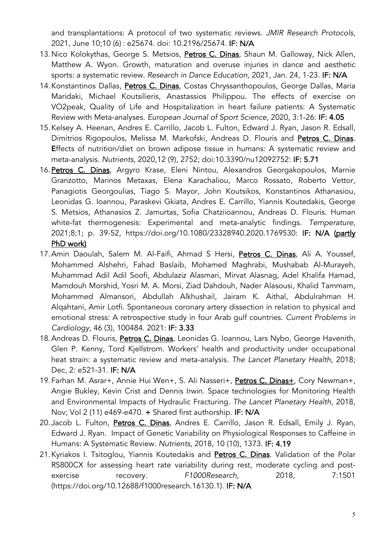and transplantations: A protocol of two systematic reviews. *JMIR Research Protocols*, 2021, June 10;10 (6) : e25674. doi: 10.2196/25674. IF: N/A

- 13. Nico Kolokythas, George S. Metsios, Petros C. Dinas, Shaun M. Galloway, Nick Allen, Matthew A. Wyon. Growth, maturation and overuse injuries in dance and aesthetic sports: a systematic review. *Research in Dance Education,* 2021, Jan. 24, 1-23. IF: N/A
- 14. Konstantinos Dallas, Petros C. Dinas, Costas Chryssanthopoulos, George Dallas, Maria Maridaki, Michael Koutsilieris, Anastassios Philippou. The effects of exercise on VO2peak, Quality of Life and Hospitalization in heart failure patients: A Systematic Review with Meta-analyses. *European Journal of Sport Science,* 2020, 3:1-26: IF: 4.05
- 15.Kelsey A. Heenan, Andres E. Carrillo, Jacob L. Fulton, Edward J. Ryan, Jason R. Edsall, Dimitrios Rigopoulos, Melissa M. Markofski, Andreas D. Flouris and Petros C. Dinas. Εffects of nutrition/diet on brown adipose tissue in humans: A systematic review and meta-analysis. *Nutrients*, 2020,12 (9), 2752; doi:10.3390/nu12092752: IF: 5.71
- 16.Petros C. Dinas, Argyro Krase, Eleni Nintou, Alexandros Georgakopoulos, Marnie Granzotto, Marinos Metaxas, Elena Karachaliou, Marco Rossato, Roberto Vettor, Panagiotis Georgoulias, Tiago S. Mayor, John Koutsikos, Konstantinos Athanasiou, Leonidas G. Ioannou, Paraskevi Gkiata, Andres E. Carrillo, Yiannis Koutedakis, George S. Metsios, Athanasios Z. Jamurtas, Sofia Chatziioannou, Andreas D. Flouris. Human white-fat thermogenesis: Experimental and meta-analytic findings. *Temperature,*  2021;8;1; p. 39-52, https://doi.org/10.1080/23328940.2020.1769530: IF: N/A (partly PhD work)
- 17. Amin Daoulah, Salem M. Al-Faifi, Ahmad S Hersi, Petros C. Dinas, Ali A. Youssef, Mohammed Alshehri, Fahad Baslaib, Mohamed Maghrabi, Mushabab Al-Murayeh, Muhammad Adil Adil Soofi, Abdulaziz Alasmari, Mirvat Alasnag, Adel Khalifa Hamad, Mamdouh Morshid, Yosri M. A. Morsi, Ziad Dahdouh, Nader Alasousi, Khalid Tammam, Mohammed Almansori, Abdullah Alkhushail, Jairam K. Aithal, Abdulrahman H. Alqahtani, Amir Lotfi. Spontaneous coronary artery dissection in relation to physical and emotional stress: A retrospective study in four Arab gulf countries. *Current Problems in Cardiology,* 46 (3), 100484. 2021: IF: 3.33
- 18. Andreas D. Flouris, Petros C. Dinas, Leonidas G. Ioannou, Lars Nybo, George Havenith, Glen P. Kenny, Tord Kjellstrom. Workers' health and productivity under occupational heat strain: a systematic review and meta-analysis. *The Lancet Planetary Health*, 2018; Dec, 2: e521-31. IF: N/A
- 19. Farhan M. Asrar+, Annie Hui Wen+, S. Ali Nasseri+, Petros C. Dinas+, Cory Newman+, Angie Bukley, Kevin Crist and Dennis Irwin. Space technologies for Monitoring Health and Environmental Impacts of Hydraulic Fracturing. *The Lancet Planetary Health*, 2018, Nov; Vol 2 (11) e469-e470. + Shared first authorship. IF: N/A
- 20.Jacob L. Fulton, Petros C. Dinas, Andres E. Carrillo, Jason R. Edsall, Emily J. Ryan, Edward J. Ryan. Impact of Genetic Variability on Physiological Responses to Caffeine in Humans: A Systematic Review. *Nutrients,* 2018, 10 (10), 1373. IF: 4.19
- 21. Kyriakos I. Tsitoglou, Yiannis Koutedakis and Petros C. Dinas. Validation of the Polar RS800CX for assessing heart rate variability during rest, moderate cycling and postexercise recovery. *F1000Research,* 2018, 7:1501 (https://doi.org/10.12688/f1000research.16130.1). IF: N/A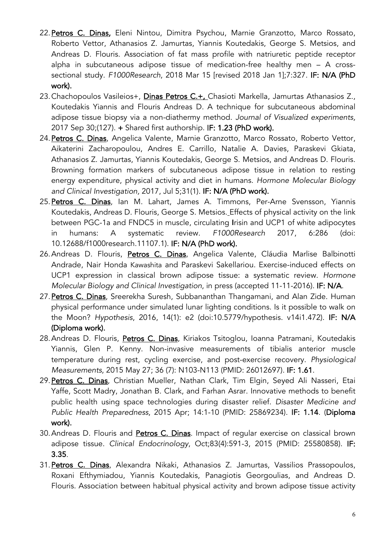- 22. Petros C. Dinas, Eleni Nintou, Dimitra Psychou, Marnie Granzotto, Marco Rossato, Roberto Vettor, Athanasios Z. Jamurtas, Yiannis Koutedakis, George S. Metsios, and Andreas D. Flouris. Association of fat mass profile with natriuretic peptide receptor alpha in subcutaneous adipose tissue of medication-free healthy men – A crosssectional study. *F1000Research*, 2018 Mar 15 [revised 2018 Jan 1];7:327. IF: N/A (PhD work).
- 23. Chachopoulos Vasileios+, Dinas Petros C.+, Chasioti Markella, Jamurtas Athanasios Z., Koutedakis Yiannis and Flouris Andreas D. A technique for subcutaneous abdominal adipose tissue biopsy via a non-diathermy method. *Journal of Visualized experiments,*  2017 Sep 30;(127). + Shared first authorship. IF: 1.23 (PhD work).
- 24.Petros C. Dinas, Angelica Valente, Marnie Granzotto, Marco Rossato, Roberto Vettor, Aikaterini Zacharopoulou, Andres E. Carrillo, Natalie A. Davies, Paraskevi Gkiata, Athanasios Z. Jamurtas, Yiannis Koutedakis, George S. Metsios, and Andreas D. Flouris. Browning formation markers of subcutaneous adipose tissue in relation to resting energy expenditure, physical activity and diet in humans. *Hormone Molecular Biology and Clinical Investigation,* 2017, Jul 5;31(1). IF: N/A (PhD work).
- 25. Petros C. Dinas, Ian M. Lahart, James A. Timmons, Per-Arne Svensson, Yiannis Koutedakis, Andreas D. Flouris, George S. Metsios. Effects of physical activity on the link between PGC-1a and FNDC5 in muscle, circulating Irisin and UCP1 of white adipocytes in humans: A systematic review. *F1000Research* 2017, 6:286 (doi: 10.12688/f1000research.11107.1). IF: N/A (PhD work).
- 26. Andreas D. Flouris, Petros C. Dinas, Angelica Valente, Cláudia Marlise Balbinotti Andrade, Nair Honda Kawashita and Paraskevi Sakellariou. Exercise-induced effects on UCP1 expression in classical brown adipose tissue: a systematic review. *Hormone Molecular Biology and Clinical Investigation*, in press (accepted 11-11-2016). IF: N/A.
- 27. Petros C. Dinas, Sreerekha Suresh, Subbananthan Thangamani, and Alan Zide. Human physical performance under simulated lunar lighting conditions. Is it possible to walk on the Moon? *Hypothesis*, 2016, 14(1): e2 (doi:10.5779/hypothesis. v14i1.472). IF: N/A (Diploma work).
- 28. Andreas D. Flouris, Petros C. Dinas, Kiriakos Tsitoglou, Ioanna Patramani, Koutedakis Yiannis, Glen P. Kenny. Non-invasive measurements of tibialis anterior muscle temperature during rest, cycling exercise, and post-exercise recovery. *Physiological Measurements*, 2015 May 27; 36 (7): N103-N113 (PMID: 26012697). IF: 1.61.
- 29. Petros C. Dinas, Christian Mueller, Nathan Clark, Tim Elgin, Seyed Ali Nasseri, Etai Yaffe, Scott Madry, Jonathan B. Clark, and Farhan Asrar. Innovative methods to benefit public health using space technologies during disaster relief. *Disaster Medicine and Public Health Preparedness*, 2015 Apr; 14:1-10 (PMID: 25869234). IF: 1.14. (Diploma work).
- 30. Andreas D. Flouris and Petros C. Dinas. Impact of regular exercise on classical brown adipose tissue. *Clinical Endocrinology*, Oct;83(4):591-3, 2015 (PMID: 25580858). IF: 3.35.
- 31. Petros C. Dinas, Alexandra Nikaki, Athanasios Z. Jamurtas, Vassilios Prassopoulos, Roxani Efthymiadou, Yiannis Koutedakis, Panagiotis Georgoulias, and Andreas D. Flouris. Association between habitual physical activity and brown adipose tissue activity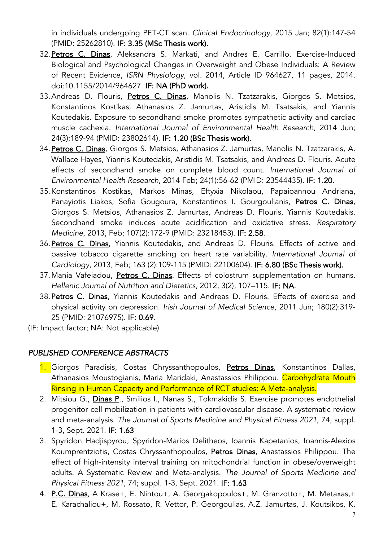in individuals undergoing PET-CT scan. *Clinical Endocrinology*, 2015 Jan; 82(1):147-54 (PMID: 25262810). IF: 3.35 (MSc Thesis work).

- 32. Petros C. Dinas, Aleksandra S. Markati, and Andres E. Carrillo. Exercise-Induced Biological and Psychological Changes in Overweight and Obese Individuals: A Review of Recent Evidence, *ISRN Physiology*, vol. 2014, Article ID 964627, 11 pages, 2014. doi:10.1155/2014/964627. IF: NA (PhD work).
- 33.Andreas D. Flouris, Petros C. Dinas, Manolis N. Tzatzarakis, Giorgos S. Metsios, Konstantinos Kostikas, Athanasios Z. Jamurtas, Aristidis M. Tsatsakis, and Yiannis Koutedakis. Exposure to secondhand smoke promotes sympathetic activity and cardiac muscle cachexia. *International Journal of Environmental Health Research*, 2014 Jun; 24(3):189-94 (PMID: 23802614). IF: 1.20 (BSc Thesis work).
- 34. Petros C. Dinas, Giorgos S. Metsios, Athanasios Z. Jamurtas, Manolis N. Tzatzarakis, A. Wallace Hayes, Yiannis Koutedakis, Aristidis M. Tsatsakis, and Andreas D. Flouris. Acute effects of secondhand smoke on complete blood count. *International Journal of Environmental Health Research*, 2014 Feb; 24(1):56-62 (PMID: 23544435). IF: 1.20.
- 35.Konstantinos Kostikas, Markos Minas, Eftyxia Nikolaou, Papaioannou Andriana, Panayiotis Liakos, Sofia Gougoura, Konstantinos I. Gourgoulianis, Petros C. Dinas, Giorgos S. Metsios, Athanasios Z. Jamurtas, Andreas D. Flouris, Yiannis Koutedakis. Secondhand smoke induces acute acidification and oxidative stress. *Respiratory Medicine*, 2013, Feb; 107(2):172-9 (PMID: 23218453). IF: 2.58.
- 36.Petros C. Dinas, Yiannis Koutedakis, and Andreas D. Flouris. Effects of active and passive tobacco cigarette smoking on heart rate variability. *International Journal of Cardiology*, 2013, Feb; 163 (2):109-115 (PMID: 22100604). IF: 6.80 (BSc Thesis work).
- 37. Mania Vafeiadou, Petros C. Dinas. Effects of colostrum supplementation on humans. *Hellenic Journal of Nutrition and Dietetics*, 2012, 3(2), 107–115. IF: NA.
- 38. Petros C. Dinas, Yiannis Koutedakis and Andreas D. Flouris. Effects of exercise and physical activity on depression. *Irish Journal of Medical Science*, 2011 Jun; 180(2):319- 25 (PMID: 21076975). IF: 0.69.

(IF: Impact factor; NA: Not applicable)

#### *PUBLISHED CONFERENCE ABSTRACTS*

- 1. Giorgos Paradisis, Costas Chryssanthopoulos, Petros Dinas, Konstantinos Dallas, Athanasios Moustogianis, Maria Maridaki, Anastassios Philippou. Carbohydrate Mouth Rinsing in Human Capacity and Performance of RCT studies: A Meta-analysis.
- 2. Mitsiou G., Dinas P., Smilios I., Nanas S., Tokmakidis S. Exercise promotes endothelial progenitor cell mobilization in patients with cardiovascular disease. A systematic review and meta-analysis. *The Journal of Sports Medicine and Physical Fitness 2021*, 74; suppl. 1-3, Sept. 2021. IF: 1.63
- 3. Spyridon Hadjispyrou, Spyridon-Marios Delitheos, Ioannis Kapetanios, Ioannis-Alexios Koumprentziotis, Costas Chryssanthopoulos, Petros Dinas, Anastassios Philippou. The effect of high-intensity interval training on mitochondrial function in obese/overweight adults. A Systematic Review and Meta-analysis. *The Journal of Sports Medicine and Physical Fitness 2021*, 74; suppl. 1-3, Sept. 2021. IF: 1.63
- 4. P.C. Dinas, A Krase+, E. Nintou+, A. Georgakopoulos+, M. Granzotto+, M. Metaxas,+ E. Karachaliou+, M. Rossato, R. Vettor, P. Georgoulias, A.Z. Jamurtas, J. Koutsikos, K.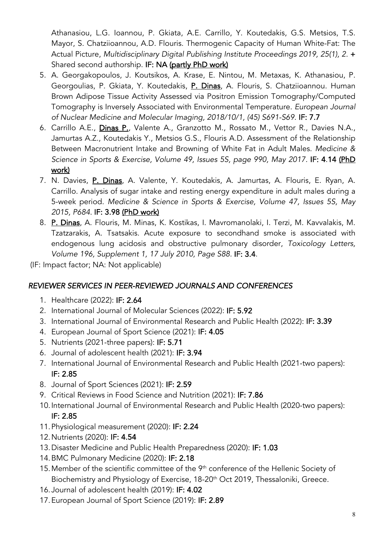Athanasiou, L.G. Ioannou, P. Gkiata, A.E. Carrillo, Y. Koutedakis, G.S. Metsios, T.S. Mayor, S. Chatziioannou, A.D. Flouris. Thermogenic Capacity of Human White-Fat: The Actual Picture, *Multidisciplinary Digital Publishing Institute Proceedings 2019, 25(1), 2.* + Shared second authorship. IF: NA (partly PhD work)

- 5. A. Georgakopoulos, J. Koutsikos, A. Krase, E. Nintou, M. Metaxas, K. Athanasiou, P. Georgoulias, P. Gkiata, Y. Koutedakis, P. Dinas, A. Flouris, S. Chatziioannou. Human Brown Adipose Tissue Activity Assessed via Positron Emission Tomography/Computed Tomography is Inversely Associated with Environmental Temperature. *European Journal of Nuclear Medicine and Molecular Imaging, 2018/10/1, (45) S691-S69*. IF: 7.7
- 6. Carrillo A.E., Dinas P., Valente A., Granzotto M., Rossato M., Vettor R., Davies N.A., Jamurtas A.Z., Koutedakis Y., Metsios G.S., Flouris A.D. Assessment of the Relationship Between Macronutrient Intake and Browning of White Fat in Adult Males. *Medicine & Science in Sports & Exercise, Volume 49, Issues 5S, page 990, May 2017.* IF: 4.14 (PhD work)
- 7. N. Davies, P. Dinas, A. Valente, Y. Koutedakis, A. Jamurtas, A. Flouris, E. Ryan, A. Carrillo. Analysis of sugar intake and resting energy expenditure in adult males during a 5-week period. *Medicine & Science in Sports & Exercise, Volume 47, Issues 5S, May 2015, P684.* IF: 3.98 (PhD work)
- 8. P. Dinas, A. Flouris, M. Minas, K. Kostikas, I. Mavromanolaki, I. Terzi, M. Kavvalakis, M. Tzatzarakis, A. Tsatsakis. Acute exposure to secondhand smoke is associated with endogenous lung acidosis and obstructive pulmonary disorder, *Toxicology Letters, Volume 196, Supplement 1, 17 July 2010, Page S88.* IF: 3.4.

(IF: Impact factor; NA: Not applicable)

## *REVIEWER SERVICES IN PEER-REVIEWED JOURNALS AND CONFERENCES*

- 1. Healthcare (2022): IF: 2.64
- 2. International Journal of Molecular Sciences (2022): IF: 5.92
- 3. International Journal of Environmental Research and Public Health (2022): IF: 3.39
- 4. European Journal of Sport Science (2021): IF: 4.05
- 5. Nutrients (2021-three papers): IF: 5.71
- 6. Journal of adolescent health (2021): IF: 3.94
- 7. International Journal of Environmental Research and Public Health (2021-two papers): IF: 2.85
- 8. Journal of Sport Sciences (2021): IF: 2.59
- 9. Critical Reviews in Food Science and Nutrition (2021): IF: 7.86
- 10.International Journal of Environmental Research and Public Health (2020-two papers): IF: 2.85
- 11.Physiological measurement (2020): IF: 2.24
- 12.Nutrients (2020): IF: 4.54
- 13.Disaster Medicine and Public Health Preparedness (2020): IF: 1.03
- 14.BMC Pulmonary Medicine (2020): IF: 2.18
- 15. Member of the scientific committee of the 9<sup>th</sup> conference of the Hellenic Society of Biochemistry and Physiology of Exercise, 18-20<sup>th</sup> Oct 2019, Thessaloniki, Greece.
- 16.Journal of adolescent health (2019): IF: 4.02
- 17.European Journal of Sport Science (2019): IF: 2.89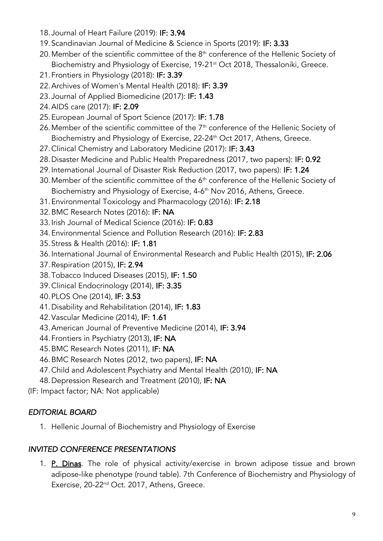- 18.Journal of Heart Failure (2019): IF: 3.94
- 19.Scandinavian Journal of Medicine & Science in Sports (2019): IF: 3.33
- 20. Member of the scientific committee of the  $8<sup>th</sup>$  conference of the Hellenic Society of Biochemistry and Physiology of Exercise, 19-21<sup>st</sup> Oct 2018, Thessaloniki, Greece.
- 21.Frontiers in Physiology (2018): IF: 3.39
- 22.Archives of Women's Mental Health (2018): IF: 3.39
- 23.Journal of Applied Biomedicine (2017): IF: 1.43
- 24.AIDS care (2017): IF: 2.09
- 25.European Journal of Sport Science (2017): IF: 1.78
- 26. Member of the scientific committee of the  $7<sup>th</sup>$  conference of the Hellenic Society of Biochemistry and Physiology of Exercise, 22-24<sup>th</sup> Oct 2017, Athens, Greece.
- 27.Clinical Chemistry and Laboratory Medicine (2017): IF: 3.43
- 28.Disaster Medicine and Public Health Preparedness (2017, two papers): IF: 0.92
- 29.International Journal of Disaster Risk Reduction (2017, two papers): IF: 1.24
- 30. Member of the scientific committee of the 6<sup>th</sup> conference of the Hellenic Society of Biochemistry and Physiology of Exercise, 4-6<sup>th</sup> Nov 2016, Athens, Greece.
- 31.Environmental Toxicology and Pharmacology (2016): IF: 2.18
- 32.BMC Research Notes (2016): IF: NA
- 33.Irish Journal of Medical Science (2016): IF: 0.83
- 34.Environmental Science and Pollution Research (2016): IF: 2.83
- 35.Stress & Health (2016): IF: 1.81
- 36.International Journal of Environmental Research and Public Health (2015), IF: 2.06
- 37.Respiration (2015), IF: 2.94
- 38.Tobacco Induced Diseases (2015), IF: 1.50
- 39.Clinical Endocrinology (2014), IF: 3.35
- 40.PLOS One (2014), IF: 3.53
- 41.Disability and Rehabilitation (2014), IF: 1.83
- 42.Vascular Medicine (2014), IF: 1.61
- 43.American Journal of Preventive Medicine (2014), IF: 3.94
- 44.Frontiers in Psychiatry (2013), IF: NA
- 45.BMC Research Notes (2011), IF: NA
- 46.BMC Research Notes (2012, two papers), IF: NA
- 47.Child and Adolescent Psychiatry and Mental Health (2010), IF: NA
- 48.Depression Research and Treatment (2010), IF: NA
- (IF: Impact factor; NA: Not applicable)

## *EDITORIAL BOARD*

1. Hellenic Journal of Biochemistry and Physiology of Exercise

## *INVITED CONFERENCE PRESENTATIONS*

1. P. Dinas. The role of physical activity/exercise in brown adipose tissue and brown adipose-like phenotype (round table). 7th Conference of Biochemistry and Physiology of Exercise, 20-22<sup>nd</sup> Oct. 2017, Athens, Greece.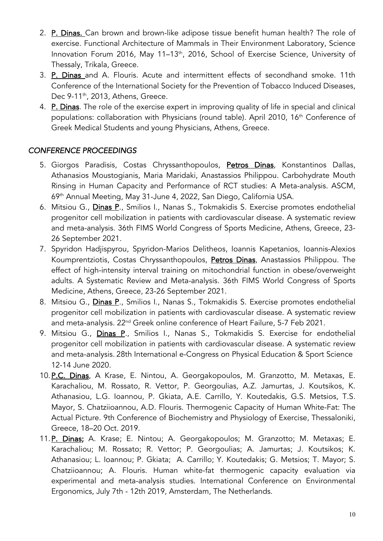- 2. P. Dinas. Can brown and brown-like adipose tissue benefit human health? The role of exercise. Functional Architecture of Mammals in Their Environment Laboratory, Science Innovation Forum 2016, May 11-13<sup>th</sup>, 2016, School of Exercise Science, University of Thessaly, Trikala, Greece.
- 3. P. Dinas and A. Flouris. Acute and intermittent effects of secondhand smoke. 11th Conference of the International Society for the Prevention of Tobacco Induced Diseases, Dec 9-11<sup>th</sup>, 2013, Athens, Greece.
- 4. P. Dinas. The role of the exercise expert in improving quality of life in special and clinical populations: collaboration with Physicians (round table). April 2010, 16<sup>th</sup> Conference of Greek Medical Students and young Physicians, Athens, Greece.

### *CONFERENCE PROCEEDINGS*

- 5. Giorgos Paradisis, Costas Chryssanthopoulos, Petros Dinas, Konstantinos Dallas, Athanasios Moustogianis, Maria Maridaki, Anastassios Philippou. Carbohydrate Mouth Rinsing in Human Capacity and Performance of RCT studies: A Meta-analysis. ASCM, 69th Annual Meeting, May 31-June 4, 2022, San Diego, California USA.
- 6. Mitsiou G., Dinas P., Smilios I., Nanas S., Tokmakidis S. Exercise promotes endothelial progenitor cell mobilization in patients with cardiovascular disease. A systematic review and meta-analysis. 36th FIMS World Congress of Sports Medicine, Athens, Greece, 23- 26 September 2021.
- 7. Spyridon Hadjispyrou, Spyridon-Marios Delitheos, Ioannis Kapetanios, Ioannis-Alexios Koumprentziotis, Costas Chryssanthopoulos, Petros Dinas, Anastassios Philippou. The effect of high-intensity interval training on mitochondrial function in obese/overweight adults. A Systematic Review and Meta-analysis. 36th FIMS World Congress of Sports Medicine, Athens, Greece, 23-26 September 2021.
- 8. Mitsiou G., *Dinas P.*, Smilios I., Nanas S., Tokmakidis S. Exercise promotes endothelial progenitor cell mobilization in patients with cardiovascular disease. A systematic review and meta-analysis. 22<sup>nd</sup> Greek online conference of Heart Failure, 5-7 Feb 2021.
- 9. Mitsiou G., *Dinas P.*, Smilios I., Nanas S., Tokmakidis S. Exercise for endothelial progenitor cell mobilization in patients with cardiovascular disease. A systematic review and meta-analysis. 28th International e-Congress on Physical Education & Sport Science 12-14 June 2020.
- 10.P.C. Dinas, A Krase, E. Nintou, A. Georgakopoulos, M. Granzotto, M. Metaxas, E. Karachaliou, M. Rossato, R. Vettor, P. Georgoulias, A.Z. Jamurtas, J. Koutsikos, K. Athanasiou, L.G. Ioannou, P. Gkiata, A.E. Carrillo, Y. Koutedakis, G.S. Metsios, T.S. Mayor, S. Chatziioannou, A.D. Flouris. Thermogenic Capacity of Human White-Fat: The Actual Picture. 9th Conference of Biochemistry and Physiology of Exercise, Thessaloniki, Greece, 18–20 Oct. 2019.
- 11.P. Dinas; A. Krase; E. Nintou; A. Georgakopoulos; M. Granzotto; M. Metaxas; E. Karachaliou; M. Rossato; R. Vettor; P. Georgoulias; A. Jamurtas; J. Koutsikos; K. Athanasiou; L. Ioannou; P. Gkiata; A. Carrillo; Y. Koutedakis; G. Metsios; T. Mayor; S. Chatziioannou; A. Flouris. Human white-fat thermogenic capacity evaluation via experimental and meta-analysis studies. International Conference on Environmental Ergonomics, July 7th - 12th 2019, Amsterdam, The Netherlands.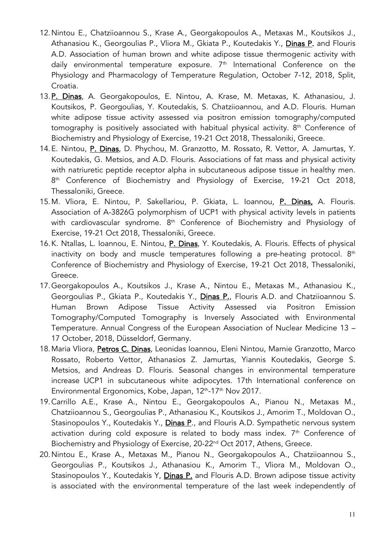- 12.Nintou E., Chatziioannou S., Krase A., Georgakopoulos A., Metaxas M., Koutsikos J., Athanasiou K., Georgoulias P., Vliora M., Gkiata P., Koutedakis Y., Dinas P. and Flouris A.D. Association of human brown and white adipose tissue thermogenic activity with daily environmental temperature exposure.  $7<sup>th</sup>$  International Conference on the Physiology and Pharmacology of Temperature Regulation, October 7-12, 2018, Split, Croatia.
- 13.P. Dinas, A. Georgakopoulos, E. Nintou, A. Krase, M. Metaxas, K. Athanasiou, J. Koutsikos, P. Georgoulias, Y. Koutedakis, S. Chatziioannou, and A.D. Flouris. Human white adipose tissue activity assessed via positron emission tomography/computed tomography is positively associated with habitual physical activity. 8<sup>th</sup> Conference of Biochemistry and Physiology of Exercise, 19-21 Oct 2018, Thessaloniki, Greece.
- 14. E. Nintou, P. Dinas, D. Phychou, M. Granzotto, M. Rossato, R. Vettor, A. Jamurtas, Y. Koutedakis, G. Metsios, and A.D. Flouris. Associations of fat mass and physical activity with natriuretic peptide receptor alpha in subcutaneous adipose tissue in healthy men. 8<sup>th</sup> Conference of Biochemistry and Physiology of Exercise, 19-21 Oct 2018, Thessaloniki, Greece.
- 15.M. Vliora, E. Nintou, P. Sakellariou, P. Gkiata, L. Ioannou, P. Dinas, A. Flouris. Association of A-3826G polymorphism of UCP1 with physical activity levels in patients with cardiovascular syndrome. 8<sup>th</sup> Conference of Biochemistry and Physiology of Exercise, 19-21 Oct 2018, Thessaloniki, Greece.
- 16.K. Ntallas, L. Ioannou, E. Nintou, P. Dinas, Y. Koutedakis, A. Flouris. Effects of physical inactivity on body and muscle temperatures following a pre-heating protocol.  $8<sup>th</sup>$ Conference of Biochemistry and Physiology of Exercise, 19-21 Oct 2018, Thessaloniki, Greece.
- 17.Georgakopoulos A., Koutsikos J., Krase A., Nintou E., Metaxas M., Athanasiou K., Georgoulias P., Gkiata P., Koutedakis Y., Dinas P., Flouris A.D. and Chatziioannou S. Human Brown Adipose Tissue Activity Assessed via Positron Emission Tomography/Computed Tomography is Inversely Associated with Environmental Temperature. Annual Congress of the European Association of Nuclear Medicine 13 – 17 October, 2018, Düsseldorf, Germany.
- 18. Maria Vliora, Petros C. Dinas, Leonidas Ioannou, Eleni Nintou, Marnie Granzotto, Marco Rossato, Roberto Vettor, Athanasios Z. Jamurtas, Yiannis Koutedakis, George S. Metsios, and Andreas D. Flouris. Seasonal changes in environmental temperature increase UCP1 in subcutaneous white adipocytes. 17th International conference on Environmental Ergonomics, Kobe, Japan, 12<sup>th</sup>-17<sup>th</sup> Nov 2017.
- 19.Carrillo A.E., Krase A., Nintou E., Georgakopoulos A., Pianou N., Metaxas M., Chatziioannou S., Georgoulias P., Athanasiou K., Koutsikos J., Amorim T., Moldovan O., Stasinopoulos Y., Koutedakis Y., Dinas P., and Flouris A.D. Sympathetic nervous system activation during cold exposure is related to body mass index.  $7<sup>th</sup>$  Conference of Biochemistry and Physiology of Exercise, 20-22<sup>nd</sup> Oct 2017, Athens, Greece.
- 20.Nintou E., Krase A., Metaxas M., Pianou N., Georgakopoulos A., Chatziioannou S., Georgoulias P., Koutsikos J., Athanasiou K., Amorim T., Vliora M., Moldovan O., Stasinopoulos Y., Koutedakis Y, Dinas P. and Flouris A.D. Brown adipose tissue activity is associated with the environmental temperature of the last week independently of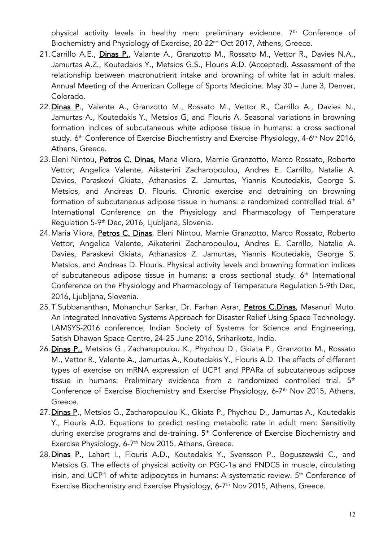physical activity levels in healthy men: preliminary evidence.  $7<sup>th</sup>$  Conference of Biochemistry and Physiology of Exercise, 20-22<sup>nd</sup> Oct 2017, Athens, Greece.

- 21. Carrillo A.E., Dinas P., Valante A., Granzotto M., Rossato M., Vettor R., Davies N.A., Jamurtas A.Z., Koutedakis Y., Metsios G.S., Flouris A.D. (Accepted). Assessment of the relationship between macronutrient intake and browning of white fat in adult males. Annual Meeting of the American College of Sports Medicine. May 30 – June 3, Denver, Colorado.
- 22. Dinas P., Valente A., Granzotto M., Rossato M., Vettor R., Carrillo A., Davies N., Jamurtas A., Koutedakis Y., Metsios G, and Flouris A. Seasonal variations in browning formation indices of subcutaneous white adipose tissue in humans: a cross sectional study. 6<sup>th</sup> Conference of Exercise Biochemistry and Exercise Physiology, 4-6<sup>th</sup> Nov 2016, Athens, Greece.
- 23.Eleni Nintou, Petros C. Dinas, Maria Vliora, Marnie Granzotto, Marco Rossato, Roberto Vettor, Angelica Valente, Aikaterini Zacharopoulou, Andres E. Carrillo, Natalie A. Davies, Paraskevi Gkiata, Athanasios Z. Jamurtas, Yiannis Koutedakis, George S. Metsios, and Andreas D. Flouris. Chronic exercise and detraining on browning formation of subcutaneous adipose tissue in humans: a randomized controlled trial. 6<sup>th</sup> International Conference on the Physiology and Pharmacology of Temperature Regulation 5-9th Dec, 2016, Ljubljana, Slovenia.
- 24. Maria Vliora, Petros C. Dinas, Eleni Nintou, Marnie Granzotto, Marco Rossato, Roberto Vettor, Angelica Valente, Aikaterini Zacharopoulou, Andres E. Carrillo, Natalie A. Davies, Paraskevi Gkiata, Athanasios Z. Jamurtas, Yiannis Koutedakis, George S. Metsios, and Andreas D. Flouris. Physical activity levels and browning formation indices of subcutaneous adipose tissue in humans: a cross sectional study. 6<sup>th</sup> International Conference on the Physiology and Pharmacology of Temperature Regulation 5-9th Dec, 2016, Ljubljana, Slovenia.
- 25.T.Subbananthan, Mohanchur Sarkar, Dr. Farhan Asrar, Petros C.Dinas, Masanuri Muto. An Integrated Innovative Systems Approach for Disaster Relief Using Space Technology. LAMSYS-2016 conference, Indian Society of Systems for Science and Engineering, Satish Dhawan Space Centre, 24-25 June 2016, Sriharikota, India.
- 26. Dinas P., Metsios G., Zacharopoulou K., Phychou D., Gkiata P., Granzotto M., Rossato M., Vettor R., Valente A., Jamurtas A., Koutedakis Y., Flouris A.D. The effects of different types of exercise on mRNA expression of UCP1 and PPARa of subcutaneous adipose tissue in humans: Preliminary evidence from a randomized controlled trial. 5<sup>th</sup> Conference of Exercise Biochemistry and Exercise Physiology, 6-7<sup>th</sup> Nov 2015, Athens, Greece.
- 27.Dinas P., Metsios G., Zacharopoulou K., Gkiata P., Phychou D., Jamurtas A., Koutedakis Y., Flouris A.D. Equations to predict resting metabolic rate in adult men: Sensitivity during exercise programs and de-training. 5<sup>th</sup> Conference of Exercise Biochemistry and Exercise Physiology,  $6-7$ <sup>th</sup> Nov 2015, Athens, Greece.
- 28. Dinas P., Lahart I., Flouris A.D., Koutedakis Y., Svensson P., Boguszewski C., and Metsios G. The effects of physical activity on PGC-1a and FNDC5 in muscle, circulating irisin, and UCP1 of white adipocytes in humans: A systematic review.  $5<sup>th</sup>$  Conference of Exercise Biochemistry and Exercise Physiology, 6-7<sup>th</sup> Nov 2015, Athens, Greece.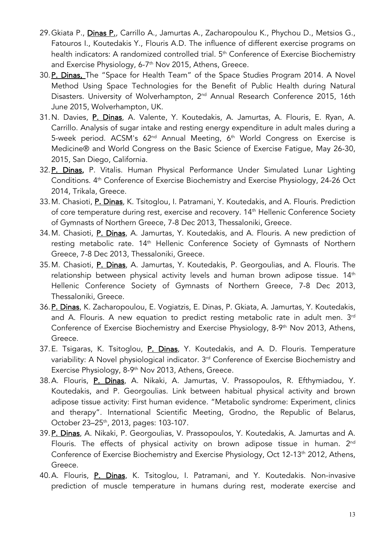- 29. Gkiata P., *Dinas P., Carrillo A., Jamurtas A., Zacharopoulou K., Phychou D., Metsios G.,* Fatouros I., Koutedakis Y., Flouris A.D. The influence of different exercise programs on health indicators: A randomized controlled trial. 5<sup>th</sup> Conference of Exercise Biochemistry and Exercise Physiology, 6-7<sup>th</sup> Nov 2015, Athens, Greece.
- 30.P. Dinas, The "Space for Health Team" of the Space Studies Program 2014. A Novel Method Using Space Technologies for the Benefit of Public Health during Natural Disasters. University of Wolverhampton, 2<sup>nd</sup> Annual Research Conference 2015, 16th June 2015, Wolverhampton, UK.
- 31.N. Davies, P. Dinas, A. Valente, Y. Koutedakis, A. Jamurtas, A. Flouris, E. Ryan, A. Carrillo. Analysis of sugar intake and resting energy expenditure in adult males during a 5-week period. ACSM's 62<sup>nd</sup> Annual Meeting, 6<sup>th</sup> World Congress on Exercise is Medicine® and World Congress on the Basic Science of Exercise Fatigue, May 26-30, 2015, San Diego, California.
- 32.P. Dinas, P. Vitalis. Human Physical Performance Under Simulated Lunar Lighting Conditions. 4th Conference of Exercise Biochemistry and Exercise Physiology, 24-26 Oct 2014, Trikala, Greece.
- 33. M. Chasioti, P. Dinas, K. Tsitoglou, I. Patramani, Y. Koutedakis, and A. Flouris. Prediction of core temperature during rest, exercise and recovery. 14<sup>th</sup> Hellenic Conference Society of Gymnasts of Northern Greece, 7-8 Dec 2013, Thessaloniki, Greece.
- 34.M. Chasioti, P. Dinas, A. Jamurtas, Y. Koutedakis, and A. Flouris. A new prediction of resting metabolic rate. 14<sup>th</sup> Hellenic Conference Society of Gymnasts of Northern Greece, 7-8 Dec 2013, Thessaloniki, Greece.
- 35.M. Chasioti, P. Dinas, A. Jamurtas, Y. Koutedakis, P. Georgoulias, and A. Flouris. The relationship between physical activity levels and human brown adipose tissue.  $14<sup>th</sup>$ Hellenic Conference Society of Gymnasts of Northern Greece, 7-8 Dec 2013, Thessaloniki, Greece.
- 36. P. Dinas, K. Zacharopoulou, E. Vogiatzis, E. Dinas, P. Gkiata, A. Jamurtas, Y. Koutedakis, and A. Flouris. A new equation to predict resting metabolic rate in adult men. 3<sup>rd</sup> Conference of Exercise Biochemistry and Exercise Physiology, 8-9<sup>th</sup> Nov 2013, Athens, Greece.
- 37.E. Tsigaras, K. Tsitoglou, P. Dinas, Y. Koutedakis, and A. D. Flouris. Temperature variability: A Novel physiological indicator. 3<sup>rd</sup> Conference of Exercise Biochemistry and Exercise Physiology, 8-9<sup>th</sup> Nov 2013, Athens, Greece.
- 38.A. Flouris, P. Dinas, A. Nikaki, A. Jamurtas, V. Prassopoulos, R. Efthymiadou, Y. Koutedakis, and P. Georgoulias. Link between habitual physical activity and brown adipose tissue activity: First human evidence. "Metabolic syndrome: Experiment, clinics and therapy". International Scientific Meeting, Grodno, the Republic of Belarus, October 23–25th, 2013, pages: 103-107.
- 39. P. Dinas, A. Nikaki, P. Georgoulias, V. Prassopoulos, Y. Koutedakis, A. Jamurtas and A. Flouris. The effects of physical activity on brown adipose tissue in human. 2<sup>nd</sup> Conference of Exercise Biochemistry and Exercise Physiology, Oct 12-13<sup>th</sup> 2012, Athens, Greece.
- 40.A. Flouris, P. Dinas, K. Tsitoglou, I. Patramani, and Y. Koutedakis. Non-invasive prediction of muscle temperature in humans during rest, moderate exercise and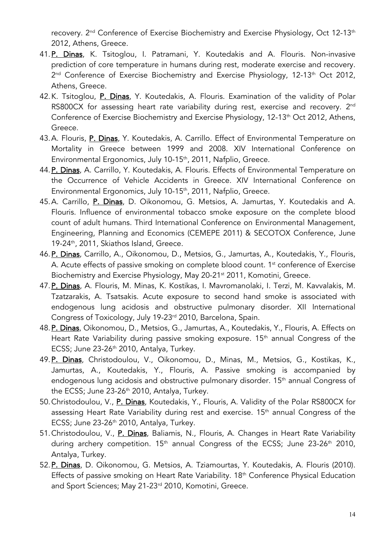recovery. 2<sup>nd</sup> Conference of Exercise Biochemistry and Exercise Physiology, Oct 12-13<sup>th</sup> 2012, Athens, Greece.

- 41.P. Dinas, K. Tsitoglou, I. Patramani, Y. Koutedakis and A. Flouris. Non-invasive prediction of core temperature in humans during rest, moderate exercise and recovery. 2<sup>nd</sup> Conference of Exercise Biochemistry and Exercise Physiology, 12-13<sup>th</sup> Oct 2012, Athens, Greece.
- 42.K. Tsitoglou, P. Dinas, Y. Koutedakis, A. Flouris. Examination of the validity of Polar RS800CX for assessing heart rate variability during rest, exercise and recovery. 2<sup>nd</sup> Conference of Exercise Biochemistry and Exercise Physiology, 12-13<sup>th</sup> Oct 2012, Athens, Greece.
- 43.A. Flouris, P. Dinas, Y. Koutedakis, A. Carrillo. Effect of Environmental Temperature on Mortality in Greece between 1999 and 2008. XIV International Conference on Environmental Ergonomics, July 10-15<sup>th</sup>, 2011, Nafplio, Greece.
- 44.P. Dinas, A. Carrillo, Y. Koutedakis, A. Flouris. Effects of Environmental Temperature on the Occurrence of Vehicle Accidents in Greece. XIV International Conference on Environmental Ergonomics, July 10-15<sup>th</sup>, 2011, Nafplio, Greece.
- 45.A. Carrillo, P. Dinas, D. Oikonomou, G. Metsios, A. Jamurtas, Y. Koutedakis and A. Flouris. Influence of environmental tobacco smoke exposure on the complete blood count of adult humans. Third International Conference on Environmental Management, Engineering, Planning and Economics (CEMEPE 2011) & SECOTOX Conference, June 19-24<sup>th</sup>, 2011, Skiathos Island, Greece.
- 46. P. Dinas, Carrillo, A., Oikonomou, D., Metsios, G., Jamurtas, A., Koutedakis, Y., Flouris, A. Acute effects of passive smoking on complete blood count. 1<sup>st</sup> conference of Exercise Biochemistry and Exercise Physiology, May 20-21<sup>st</sup> 2011, Komotini, Greece.
- 47. P. Dinas, A. Flouris, M. Minas, K. Kostikas, I. Mavromanolaki, I. Terzi, M. Kavvalakis, M. Tzatzarakis, A. Tsatsakis. Acute exposure to second hand smoke is associated with endogenous lung acidosis and obstructive pulmonary disorder. XII International Congress of Toxicology, July 19-23rd 2010, Barcelona, Spain.
- 48. P. Dinas, Oikonomou, D., Metsios, G., Jamurtas, A., Koutedakis, Y., Flouris, A. Effects on Heart Rate Variability during passive smoking exposure. 15<sup>th</sup> annual Congress of the ECSS; June 23-26<sup>th</sup> 2010, Antalya, Turkey.
- 49. P. Dinas, Christodoulou, V., Oikonomou, D., Minas, M., Metsios, G., Kostikas, K., Jamurtas, A., Koutedakis, Y., Flouris, A. Passive smoking is accompanied by endogenous lung acidosis and obstructive pulmonary disorder. 15<sup>th</sup> annual Congress of the ECSS; June 23-26<sup>th</sup> 2010, Antalya, Turkey.
- 50.Christodoulou, V., P. Dinas, Koutedakis, Y., Flouris, A. Validity of the Polar RS800CX for assessing Heart Rate Variability during rest and exercise. 15<sup>th</sup> annual Congress of the ECSS; June  $23-26$ <sup>th</sup> 2010, Antalya, Turkey.
- 51. Christodoulou, V., P. Dinas, Baliamis, N., Flouris, A. Changes in Heart Rate Variability during archery competition. 15<sup>th</sup> annual Congress of the ECSS; June 23-26<sup>th</sup> 2010, Antalya, Turkey.
- 52. P. Dinas, D. Oikonomou, G. Metsios, A. Tziamourtas, Y. Koutedakis, A. Flouris (2010). Effects of passive smoking on Heart Rate Variability. 18<sup>th</sup> Conference Physical Education and Sport Sciences; May 21-23<sup>rd</sup> 2010, Komotini, Greece.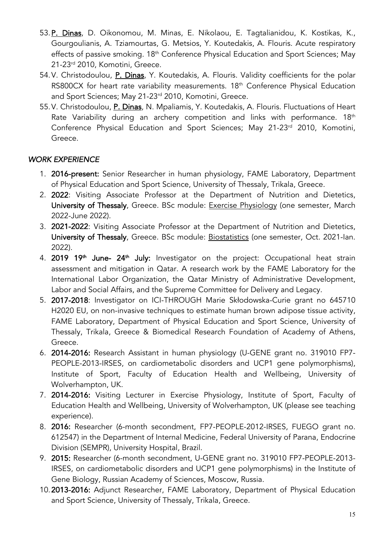- 53.P. Dinas, D. Oikonomou, M. Minas, E. Nikolaou, E. Tagtalianidou, K. Kostikas, K., Gourgoulianis, A. Tziamourtas, G. Metsios, Y. Koutedakis, A. Flouris. Acute respiratory effects of passive smoking. 18<sup>th</sup> Conference Physical Education and Sport Sciences; May 21-23rd 2010, Komotini, Greece.
- 54.V. Christodoulou, P. Dinas, Y. Koutedakis, A. Flouris. Validity coefficients for the polar RS800CX for heart rate variability measurements. 18<sup>th</sup> Conference Physical Education and Sport Sciences; May 21-23<sup>rd</sup> 2010, Komotini, Greece.
- 55.V. Christodoulou, P. Dinas, N. Mpaliamis, Y. Koutedakis, A. Flouris. Fluctuations of Heart Rate Variability during an archery competition and links with performance.  $18<sup>th</sup>$ Conference Physical Education and Sport Sciences; May 21-23<sup>rd</sup> 2010, Komotini, Greece.

## *WORK EXPERIENCE*

- 1. 2016-present: Senior Researcher in human physiology, FAME Laboratory, Department of Physical Education and Sport Science, University of Thessaly, Trikala, Greece.
- 2. 2022: Visiting Associate Professor at the Department of Nutrition and Dietetics, University of Thessaly, Greece. BSc module: Exercise Physiology (one semester, March 2022-June 2022).
- 3. 2021-2022: Visiting Associate Professor at the Department of Nutrition and Dietetics, University of Thessaly, Greece. BSc module: Biostatistics (one semester, Oct. 2021-lan. 2022).
- 4. 2019 19<sup>th</sup> June- 24<sup>th</sup> July: Investigator on the project: Occupational heat strain assessment and mitigation in Qatar. A research work by the FAME Laboratory for the International Labor Organization, the Qatar Ministry of Administrative Development, Labor and Social Affairs, and the Supreme Committee for Delivery and Legacy.
- 5. 2017-2018: Investigator on ICI-THROUGH Marie Skłodowska-Curie grant no 645710 H2020 EU, on non-invasive techniques to estimate human brown adipose tissue activity, FAME Laboratory, Department of Physical Education and Sport Science, University of Thessaly, Trikala, Greece & Biomedical Research Foundation of Academy of Athens, Greece.
- 6. 2014-2016: Research Assistant in human physiology (U-GENE grant no. 319010 FP7- PEOPLE-2013-IRSES, on cardiometabolic disorders and UCP1 gene polymorphisms), Institute of Sport, Faculty of Education Health and Wellbeing, University of Wolverhampton, UK.
- 7. 2014-2016: Visiting Lecturer in Exercise Physiology, Institute of Sport, Faculty of Education Health and Wellbeing, University of Wolverhampton, UK (please see teaching experience).
- 8. 2016: Researcher (6-month secondment, FP7-PEOPLE-2012-IRSES, FUEGO grant no. 612547) in the Department of Internal Medicine, Federal University of Parana, Endocrine Division (SEMPR), University Hospital, Brazil.
- 9. 2015: Researcher (6-month secondment, U-GENE grant no. 319010 FP7-PEOPLE-2013- IRSES, on cardiometabolic disorders and UCP1 gene polymorphisms) in the Institute of Gene Biology, Russian Academy of Sciences, Moscow, Russia.
- 10.2013-2016: Adjunct Researcher, FAME Laboratory, Department of Physical Education and Sport Science, University of Thessaly, Trikala, Greece.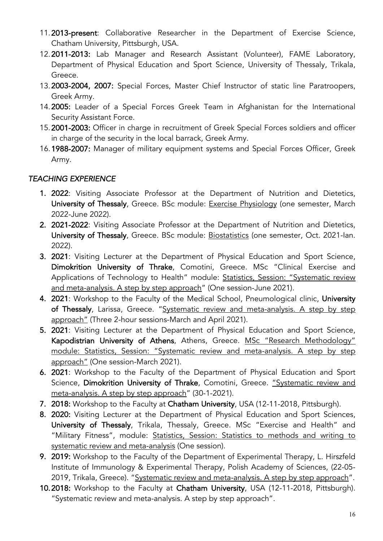- 11.2013-present: Collaborative Researcher in the Department of Exercise Science, Chatham University, Pittsburgh, USA.
- 12.2011-2013: Lab Manager and Research Assistant (Volunteer), FAME Laboratory, Department of Physical Education and Sport Science, University of Thessaly, Trikala, Greece.
- 13.2003-2004, 2007: Special Forces, Master Chief Instructor of static line Paratroopers, Greek Army.
- 14.2005: Leader of a Special Forces Greek Team in Afghanistan for the International Security Assistant Force.
- 15.2001-2003: Officer in charge in recruitment of Greek Special Forces soldiers and officer in charge of the security in the local barrack, Greek Army.
- 16.1988-2007: Manager of military equipment systems and Special Forces Officer, Greek Army.

## *TEACHING EXPERIENCE*

- 1. 2022: Visiting Associate Professor at the Department of Nutrition and Dietetics, University of Thessaly, Greece. BSc module: Exercise Physiology (one semester, March 2022-June 2022).
- 2. 2021-2022: Visiting Associate Professor at the Department of Nutrition and Dietetics, University of Thessaly, Greece. BSc module: Biostatistics (one semester, Oct. 2021-lan. 2022).
- 3. 2021: Visiting Lecturer at the Department of Physical Education and Sport Science, Dimokrition University of Thrake, Comotini, Greece. MSc "Clinical Exercise and Applications of Technology to Health" module: Statistics, Session: "Systematic review and meta-analysis. A step by step approach" (One session-June 2021).
- 4. 2021: Workshop to the Faculty of the Medical School, Pneumological clinic, University of Thessaly, Larissa, Greece. "Systematic review and meta-analysis. A step by step approach" (Three 2-hour sessions-March and April 2021).
- 5. 2021: Visiting Lecturer at the Department of Physical Education and Sport Science, Kapodistrian University of Athens, Athens, Greece. MSc "Research Methodology" module: Statistics, Session: "Systematic review and meta-analysis. A step by step approach" (One session-March 2021).
- 6. 2021: Workshop to the Faculty of the Department of Physical Education and Sport Science, Dimokrition University of Thrake, Comotini, Greece. "Systematic review and meta-analysis. A step by step approach" (30-1-2021).
- 7. 2018: Workshop to the Faculty at Chatham University, USA (12-11-2018, Pittsburgh).
- 8. 2020: Visiting Lecturer at the Department of Physical Education and Sport Sciences, University of Thessaly, Trikala, Thessaly, Greece. MSc "Exercise and Health" and "Military Fitness", module: Statistics, Session: Statistics to methods and writing to systematic review and meta-analysis (One session).
- 9. 2019: Workshop to the Faculty of the Department of Experimental Therapy, L. Hirszfeld Institute of Immunology & Experimental Therapy, Polish Academy of Sciences, (22-05- 2019, Trikala, Greece). "Systematic review and meta-analysis. A step by step approach".
- 10.2018: Workshop to the Faculty at Chatham University, USA (12-11-2018, Pittsburgh). "Systematic review and meta-analysis. A step by step approach".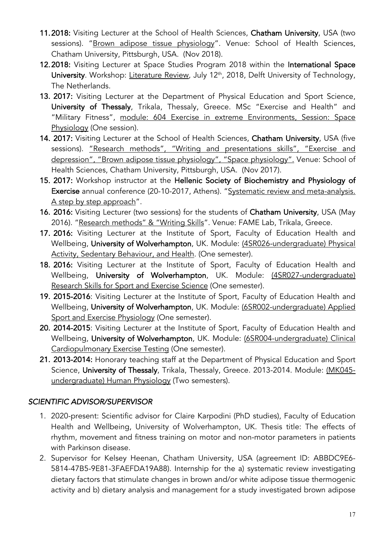- 11.2018: Visiting Lecturer at the School of Health Sciences, Chatham University, USA (two sessions). "Brown adipose tissue physiology". Venue: School of Health Sciences, Chatham University, Pittsburgh, USA. (Nov 2018).
- 12.2018: Visiting Lecturer at Space Studies Program 2018 within the International Space University. Workshop: Literature Review, July 12<sup>th</sup>, 2018, Delft University of Technology, The Netherlands.
- 13. 2017: Visiting Lecturer at the Department of Physical Education and Sport Science, University of Thessaly, Trikala, Thessaly, Greece. MSc "Exercise and Health" and "Military Fitness", module: 604 Exercise in extreme Environments, Session: Space Physiology (One session).
- 14. 2017: Visiting Lecturer at the School of Health Sciences, Chatham University, USA (five sessions). "Research methods", "Writing and presentations skills", "Exercise and depression", "Brown adipose tissue physiology", "Space physiology". Venue: School of Health Sciences, Chatham University, Pittsburgh, USA. (Nov 2017).
- 15. 2017: Workshop instructor at the Hellenic Society of Biochemistry and Physiology of Exercise annual conference (20-10-2017, Athens). "Systematic review and meta-analysis. A step by step approach".
- 16. 2016: Visiting Lecturer (two sessions) for the students of Chatham University, USA (May 2016). "Research methods" & "Writing Skills". Venue: FAME Lab, Trikala, Greece.
- 17. 2016: Visiting Lecturer at the Institute of Sport, Faculty of Education Health and Wellbeing, University of Wolverhampton, UK. Module: (4SR026-undergraduate) Physical Activity, Sedentary Behaviour, and Health. (One semester).
- 18. 2016: Visiting Lecturer at the Institute of Sport, Faculty of Education Health and Wellbeing, University of Wolverhampton, UK. Module: (4SR027-undergraduate) Research Skills for Sport and Exercise Science (One semester).
- 19. 2015-2016: Visiting Lecturer at the Institute of Sport, Faculty of Education Health and Wellbeing, University of Wolverhampton, UK. Module: (6SR002-undergraduate) Applied Sport and Exercise Physiology (One semester).
- 20. 2014-2015: Visiting Lecturer at the Institute of Sport, Faculty of Education Health and Wellbeing, University of Wolverhampton, UK. Module: (6SR004-undergraduate) Clinical Cardiopulmonary Exercise Testing (One semester).
- 21. 2013-2014: Honorary teaching staff at the Department of Physical Education and Sport Science, University of Thessaly, Trikala, Thessaly, Greece. 2013-2014. Module: (MK045undergraduate) Human Physiology (Two semesters).

## *SCIENTIFIC ADVISOR/SUPERVISOR*

- 1. 2020-present: Scientific advisor for Claire Karpodini (PhD studies), Faculty of Education Health and Wellbeing, University of Wolverhampton, UK. Thesis title: The effects of rhythm, movement and fitness training on motor and non-motor parameters in patients with Parkinson disease.
- 2. Supervisor for Kelsey Heenan, Chatham University, USA (agreement ID: ABBDC9E6- 5814-47B5-9E81-3FAEFDA19A88). Internship for the a) systematic review investigating dietary factors that stimulate changes in brown and/or white adipose tissue thermogenic activity and b) dietary analysis and management for a study investigated brown adipose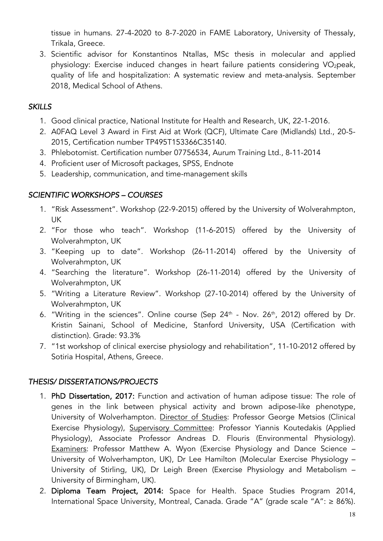tissue in humans. 27-4-2020 to 8-7-2020 in FAME Laboratory, University of Thessaly, Trikala, Greece.

3. Scientific advisor for Konstantinos Ntallas, MSc thesis in molecular and applied physiology: Exercise induced changes in heart failure patients considering VO<sub>2</sub>peak, quality of life and hospitalization: A systematic review and meta-analysis. September 2018, Medical School of Athens.

## *SKILLS*

- 1. Good clinical practice, National Institute for Health and Research, UK, 22-1-2016.
- 2. A0FAQ Level 3 Award in First Aid at Work (QCF), Ultimate Care (Midlands) Ltd., 20-5- 2015, Certification number TP495T153366C35140.
- 3. Phlebotomist. Certification number 07756534, Aurum Training Ltd., 8-11-2014
- 4. Proficient user of Microsoft packages, SPSS, Endnote
- 5. Leadership, communication, and time-management skills

## *SCIENTIFIC WORKSHOPS – COURSES*

- 1. "Risk Assessment". Workshop (22-9-2015) offered by the University of Wolverahmpton, UK
- 2. "For those who teach". Workshop (11-6-2015) offered by the University of Wolverahmpton, UK
- 3. "Keeping up to date". Workshop (26-11-2014) offered by the University of Wolverahmpton, UK
- 4. "Searching the literature". Workshop (26-11-2014) offered by the University of Wolverahmpton, UK
- 5. "Writing a Literature Review". Workshop (27-10-2014) offered by the University of Wolverahmpton, UK
- 6. "Writing in the sciences". Online course (Sep  $24<sup>th</sup>$  Nov.  $26<sup>th</sup>$ , 2012) offered by Dr. Kristin Sainani, School of Medicine, Stanford University, USA (Certification with distinction). Grade: 93.3%
- 7. "1st workshop of clinical exercise physiology and rehabilitation", 11-10-2012 offered by Sotiria Hospital, Athens, Greece.

## *THESIS/ DISSERTATIONS/PROJECTS*

- 1. PhD Dissertation, 2017: Function and activation of human adipose tissue: The role of genes in the link between physical activity and brown adipose-like phenotype, University of Wolverhampton. Director of Studies: Professor George Metsios (Clinical Exercise Physiology), Supervisory Committee: Professor Yiannis Koutedakis (Applied Physiology), Associate Professor Andreas D. Flouris (Environmental Physiology). Examiners: Professor Matthew A. Wyon (Exercise Physiology and Dance Science – University of Wolverhampton, UK), Dr Lee Hamilton (Molecular Exercise Physiology – University of Stirling, UK), Dr Leigh Breen (Exercise Physiology and Metabolism – University of Birmingham, UK).
- 2. Diploma Team Project, 2014: Space for Health. Space Studies Program 2014, International Space University, Montreal, Canada. Grade "A" (grade scale "A": ≥ 86%).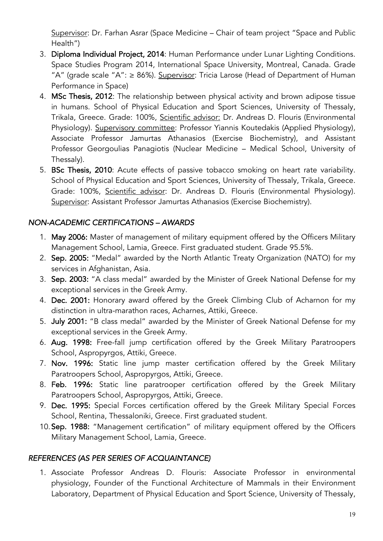Supervisor: Dr. Farhan Asrar (Space Medicine – Chair of team project "Space and Public Health")

- 3. Diploma Individual Project, 2014: Human Performance under Lunar Lighting Conditions. Space Studies Program 2014, International Space University, Montreal, Canada. Grade "A" (grade scale "A":  $\geq$  86%). Supervisor: Tricia Larose (Head of Department of Human Performance in Space)
- 4. MSc Thesis, 2012: The relationship between physical activity and brown adipose tissue in humans. School of Physical Education and Sport Sciences, University of Thessaly, Trikala, Greece. Grade: 100%, Scientific advisor: Dr. Andreas D. Flouris (Environmental Physiology). Supervisory committee: Professor Yiannis Koutedakis (Applied Physiology), Associate Professor Jamurtas Athanasios (Exercise Biochemistry), and Assistant Professor Georgoulias Panagiotis (Nuclear Medicine – Medical School, University of Thessaly).
- 5. BSc Thesis, 2010: Acute effects of passive tobacco smoking on heart rate variability. School of Physical Education and Sport Sciences, University of Thessaly, Trikala, Greece. Grade: 100%, Scientific advisor: Dr. Andreas D. Flouris (Environmental Physiology). Supervisor: Assistant Professor Jamurtas Athanasios (Exercise Biochemistry).

## *NON-ACADEMIC CERTIFICATIONS – AWARDS*

- 1. May 2006: Master of management of military equipment offered by the Officers Military Management School, Lamia, Greece. First graduated student. Grade 95.5%.
- 2. Sep. 2005: "Medal" awarded by the North Atlantic Treaty Organization (NATO) for my services in Afghanistan, Asia.
- 3. Sep. 2003: "A class medal" awarded by the Minister of Greek National Defense for my exceptional services in the Greek Army.
- 4. Dec. 2001: Honorary award offered by the Greek Climbing Club of Acharnon for my distinction in ultra-marathon races, Acharnes, Attiki, Greece.
- 5. July 2001: "B class medal" awarded by the Minister of Greek National Defense for my exceptional services in the Greek Army.
- 6. Aug. 1998: Free-fall jump certification offered by the Greek Military Paratroopers School, Aspropyrgos, Attiki, Greece.
- 7. Nov. 1996: Static line jump master certification offered by the Greek Military Paratroopers School, Aspropyrgos, Attiki, Greece.
- 8. Feb. 1996: Static line paratrooper certification offered by the Greek Military Paratroopers School, Aspropyrgos, Attiki, Greece.
- 9. Dec. 1995: Special Forces certification offered by the Greek Military Special Forces School, Rentina, Thessaloniki, Greece. First graduated student.
- 10.Sep. 1988: "Management certification" of military equipment offered by the Officers Military Management School, Lamia, Greece.

## *REFERENCES (AS PER SERIES OF ACQUAINTANCE)*

1. Associate Professor Andreas D. Flouris: Associate Professor in environmental physiology, Founder of the Functional Architecture of Mammals in their Environment Laboratory, Department of Physical Education and Sport Science, University of Thessaly,